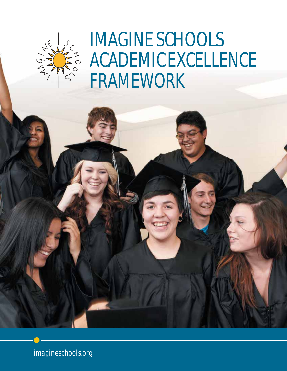

IMAGINE SCHOOLS ACADEMIC EXCELLENCE FRAMEWORK

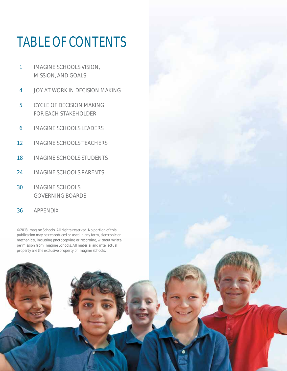# TABLE OF CONTENTS

- 1 IMAGINE SCHOOLS VISION, MISSION, AND GOALS
- 4 JOY AT WORK IN DECISION MAKING
- 5 CYCLE OF DECISION MAKING FOR EACH STAKEHOLDER
- 6 IMAGINE SCHOOLS LEADERS
- 12 IMAGINE SCHOOLS TEACHERS
- 18 IMAGINE SCHOOLS STUDENTS
- 24 IMAGINE SCHOOLS PARENTS
- 30 IMAGINE SCHOOLS GOVERNING BOARDS
- 36 APPENDIX

© 2018 Imagine Schools. All rights reserved. No portion of this publication may be reproduced or used in any form, electronic or mechanical, including photocopying or recording, without written permission from Imagine Schools. All material and intellectual property are the exclusive property of Imagine Schools.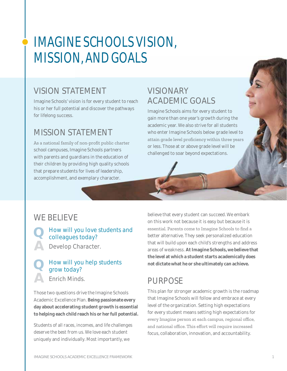# **IMAGINE SCHOOLS VISION, MISSION, AND GOALS**

# **VISION STATEMENT**

Imagine Schools' vision is for every student to reach his or her full potential and discover the pathways for lifelong success.

# MISSION STATEMENT

As a national family of non-profit public charter school campuses, Imagine Schools partners with parents and guardians in the education of their children by providing high quality schools that prepare students for lives of leadership, accomplishment, and exemplary character.

# **VISIONARY ACADEMIC GOALS**

Imagine Schools aims for every student to gain more than one year's growth during the academic year. We also strive for all students who enter Imagine Schools below grade level to attain grade level proficiency within three years or less. Those at or above grade level will be challenged to soar beyond expectations.

# WF BFI IFVF

How will you love students and colleagues today?

Develop Character.

### How will you help students grow today? **Fnrich Minds**

Those two questions drive the Imagine Schools Academic Excellence Plan. Being passionate every day about accelerating student growth is essential to helping each child reach his or her full potential.

Students of all races, incomes, and life challenges deserve the best from us. We love each student uniquely and individually. Most importantly, we

believe that every student can succeed. We embark on this work not because it is easy but because it is essential. Parents come to Imagine Schools to find a better alternative. They seek personalized education that will build upon each child's strengths and address areas of weakness. At Imagine Schools, we believe that the level at which a student starts academically does not dictate what he or she ultimately can achieve.

# **PURPOSE**

This plan for stronger academic growth is the roadmap that Imagine Schools will follow and embrace at every level of the organization. Setting high expectations for every student means setting high expectations for every Imagine person at each campus, regional office, and national office. This effort will require increased focus, collaboration, innovation, and accountability.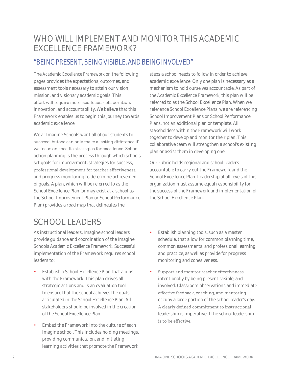# WHO WILL IMPLEMENT AND MONITOR THIS ACADEMIC EXCELLENCE FRAMEWORK?

# "BEING PRESENT, BEING VISIBLE, AND BEING INVOLVED"

The *Academic Excellence Framework* on the following pages provides the expectations, outcomes, and assessment tools necessary to attain our vision, mission, and visionary academic goals. This effort will require increased focus, collaboration, innovation, and accountability. We believe that this Framework enables us to begin this journey towards academic excellence.

We at Imagine Schools want all of our students to succeed, but we can only make a lasting difference if we focus on specific strategies for excellence. School action planning is the process through which schools set goals for improvement, strategies for success, professional development for teacher effectiveness, and progress monitoring to determine achievement of goals. A plan, which will be referred to as the School Excellence Plan (or may exist at a school as the School Improvement Plan or School Performance Plan) provides a road map that delineates the

steps a school needs to follow in order to achieve academic excellence. Only one plan is necessary as a mechanism to hold ourselves accountable. As part of the *Academic Excellence Framework*, this plan will be referred to as the School Excellence Plan. When we reference School Excellence Plans, we are referencing School Improvement Plans or School Performance Plans, not an additional plan or template. All stakeholders within the Framework will work together to develop and monitor their plan. This collaborative team will strengthen a school's existing plan or assist them in developing one.

Our rubric holds regional and school leaders accountable to carry out the Framework and the School Excellence Plan. Leadership at all levels of this organization must assume equal responsibility for the success of the Framework and implementation of the School Excellence Plan.

# SCHOOL LEADERS

As instructional leaders, Imagine school leaders provide guidance and coordination of the Imagine Schools *Academic Excellence Framework*. Successful implementation of the Framework requires school leaders to:

- Establish a School Excellence Plan that aligns with the Framework. This plan drives all strategic actions and is an evaluation tool to ensure that the school achieves the goals articulated in the School Excellence Plan. All stakeholders should be involved in the creation of the School Excellence Plan.
- Embed the Framework into the culture of each Imagine school. This includes holding meetings, providing communication, and initiating learning activities that promote the Framework.
- Establish planning tools, such as a master schedule, that allow for common planning time, common assessments, and professional learning and practice, as well as provide for progress monitoring and cohesiveness.
- Support and monitor teacher effectiveness intentionally by being present, visible, and involved. Classroom observations and immediate effective feedback, coaching, and mentoring occupy a large portion of the school leader's day. A clearly defined commitment to instructional leadership is imperative if the school leadership is to be effective.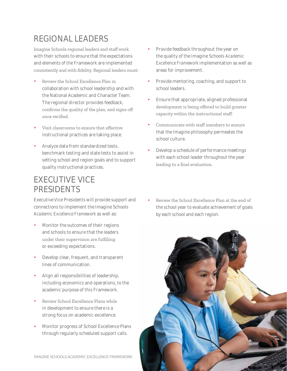# REGIONAL LEADERS

Imagine Schools regional leaders and staff work with their schools to ensure that the expectations and elements of the Framework are implemented consistently and with fidelity. Regional leaders must:

- Review the School Excellence Plan in collaboration with school leadership and with the National Academic and Character Team. The regional director provides feedback, confirms the quality of the plan, and signs off once verified.
- Visit classrooms to ensure that effective instructional practices are taking place.
- Analyze data from standardized tests, benchmark testing and state tests to assist in setting school and region goals and to support quality instructional practices.

# EXECUTIVE VICE PRESIDENTS

Executive Vice Presidents will provide support and connections to implement the Imagine Schools *Academic Excellence Framework* as well as:

- Monitor the outcomes of their regions and schools to ensure that the leaders under their supervision are fulfilling or exceeding expectations.
- Develop clear, frequent, and transparent lines of communication.
- Align all responsibilities of leadership, including economics and operations, to the academic purpose of this Framework.
- Review School Excellence Plans while in development to ensure there is a strong focus on academic excellence.
- Monitor progress of School Excellence Plans through regularly scheduled support calls.
- Provide feedback throughout the year on the quality of the Imagine Schools *Academic Excellence Framework* implementation as well as areas for improvement.
- Provide mentoring, coaching, and support to school leaders.
- Ensure that appropriate, aligned professional development is being offered to build greater capacity within the instructional staff.
- Communicate with staff members to ensure that the Imagine philosophy permeates the school culture.
- Develop a schedule of performance meetings with each school leader throughout the year leading to a final evaluation.
- Review the School Excellence Plan at the end of the school year to evaluate achievement of goals by each school and each region.

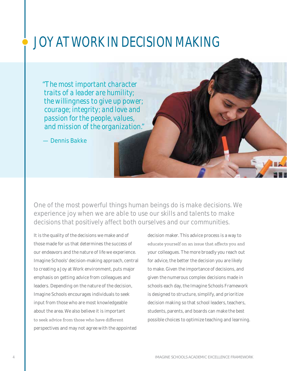# JOY AT WORK IN DECISION MAKING

*"The most important character traits of a leader are humility; the willingness to give up power; courage; integrity; and love and passion for the people, values, and mission of the organization."* 

— Dennis Bakke

One of the most powerful things human beings do is make decisions. We experience joy when we are able to use our skills and talents to make decisions that positively affect both ourselves and our communities.

It is the quality of the decisions we make and of those made for us that determines the success of our endeavors and the nature of life we experience. Imagine Schools' decision-making approach, central to creating a Joy at Work environment, puts major emphasis on getting advice from colleagues and leaders. Depending on the nature of the decision, Imagine Schools encourages individuals to seek input from those who are most knowledgeable about the area. We also believe it is important to seek advice from those who have different perspectives and may not agree with the appointed

decision maker. This advice process is a way to educate yourself on an issue that affects you and your colleagues. The more broadly you reach out for advice, the better the decision you are likely to make. Given the importance of decisions, and given the numerous complex decisions made in schools each day, the Imagine Schools Framework is designed to structure, simplify, and prioritize decision making so that school leaders, teachers, students, parents, and boards can make the best possible choices to optimize teaching and learning.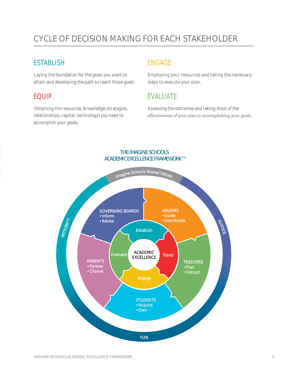# CYCLE OF DECISION MAKING FOR EACH STAKEHOLDER

### **ESTABLISH**

Laying the foundation for the goals you want to attain and developing the path to reach those goals.

## EQUIP

Obtaining the resources (knowledge, strategies, relationships, capital, technology) you need to accomplish your goals.

## ENGAGE

Employing your resources and taking the necessary steps to execute your plan.

## EVALUATE

Assessing the outcomes and taking stock of the effectiveness of your plan in accomplishing your goals.



#### THE IMAGINE SCHOOLS ACADEMIC EXCELLENCE FRAMEWORK™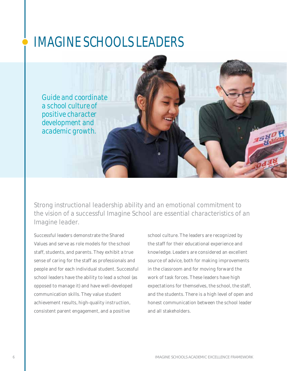# IMAGINE SCHOOLS LEADERS

*Guide and coordinate a school culture of positive character development and academic growth.*

Strong instructional leadership ability and an emotional commitment to the vision of a successful Imagine School are essential characteristics of an Imagine leader.

Successful leaders demonstrate the Shared Values and serve as role models for the school staff, students, and parents. They exhibit a true sense of caring for the staff as professionals and people and for each individual student. Successful school leaders have the ability to lead a school (as opposed to manage it) and have well-developed communication skills. They value student achievement results, high-quality instruction, consistent parent engagement, and a positive

school culture. The leaders are recognized by the staff for their educational experience and knowledge. Leaders are considered an excellent source of advice, both for making improvements in the classroom and for moving forward the work of task forces. These leaders have high expectations for themselves, the school, the staff, and the students. There is a high level of open and honest communication between the school leader and all stakeholders.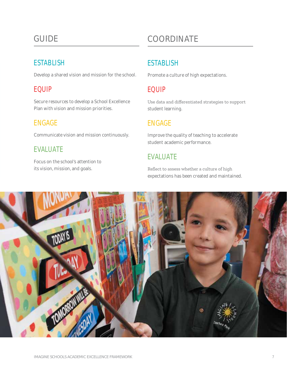# **GUIDE**

# **ESTABLISH**

Develop a shared vision and mission for the school.

## **EQUIP**

Secure resources to develop a School Excellence Plan with vision and mission priorities.

## **ENGAGE**

Communicate vision and mission continuously.

# **EVALUATE**

Focus on the school's attention to its vision, mission, and goals.

# COORDINATE

# **ESTABLISH**

Promote a culture of high expectations.

# **EQUIP**

Use data and differentiated strategies to support student learning.

## **ENGAGE**

Improve the quality of teaching to accelerate student academic performance.

# **EVALUATE**

Reflect to assess whether a culture of high expectations has been created and maintained.

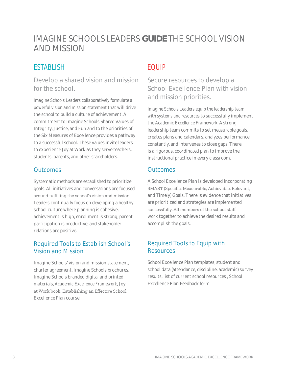# IMAGINE SCHOOLS LEADERS GUIDE THE SCHOOL VISION **AND MISSION**

# **ESTABLISH**

Develop a shared vision and mission for the school.

Imagine Schools Leaders collaboratively formulate a powerful vision and mission statement that will drive the school to build a culture of achievement. A commitment to Imagine Schools Shared Values of Integrity, Justice, and Fun and to the priorities of the Six Measures of Excellence provides a pathway to a successful school. These values invite leaders to experience Joy at Work as they serve teachers, students, parents, and other stakeholders.

#### **Outcomes**

Systematic methods are established to prioritize goals. All initiatives and conversations are focused around fulfilling the school's vision and mission. Leaders continually focus on developing a healthy school culture where planning is cohesive, achievement is high, enrollment is strong, parent participation is productive, and stakeholder relations are positive.

#### **Required Tools to Establish School's Vision and Mission**

Imagine Schools' vision and mission statement, charter agreement, Imagine Schools brochures, Imagine Schools branded digital and printed materials, Academic Excellence Framework, Joy at Work book, Establishing an Effective School Excellence Plan course

# **EQUIP**

Secure resources to develop a School Excellence Plan with vision and mission priorities.

Imagine Schools Leaders equip the leadership team with systems and resources to successfully implement the Academic Excellence Framework. A strong leadership team commits to set measurable goals, creates plans and calendars, analyzes performance constantly, and intervenes to close gaps. There is a rigorous, coordinated plan to improve the instructional practice in every classroom.

#### **Outcomes**

A School Excellence Plan is developed incorporating SMART (Specific, Measurable, Achievable, Relevant, and Timely) Goals. There is evidence that initiatives are prioritized and strategies are implemented successfully. All members of the school staff work together to achieve the desired results and accomplish the goals.

#### **Required Tools to Equip with Resources**

School Excellence Plan templates, student and school data (attendance, discipline, academic) survey results, list of current school resources, School Excellence Plan Feedback form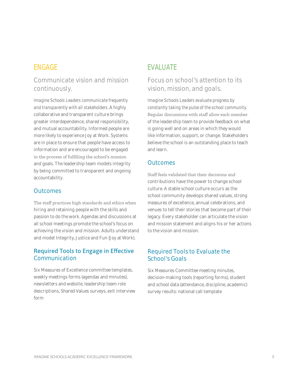#### Communicate vision and mission continuously.

Imagine Schools Leaders communicate frequently and transparently with all stakeholders. A highly collaborative and transparent culture brings greater interdependence, shared responsibility, and mutual accountability. Informed people are more likely to experience Joy at Work. Systems are in place to ensure that people have access to information and are encouraged to be engaged in the process of fulfilling the school's mission and goals. The leadership team models integrity by being committed to transparent and ongoing accountability.

#### **Outcomes**

The staff practices high standards and ethics when hiring and retaining people with the skills and passion to do the work. Agendas and discussions at all school meetings promote the school's focus on achieving the vision and mission. Adults understand and model Integrity, Justice and Fun (Joy at Work).

#### **Required Tools to Engage in Effective** Communication

Six Measures of Excellence committee templates, weekly meetings forms (agendas and minutes), newsletters and website, leadership team role descriptions, Shared Values surveys, exit interview form

## **EVALUATE**

#### Focus on school's attention to its vision, mission, and goals.

Imagine Schools Leaders evaluate progress by constantly taking the pulse of the school community. Regular discussions with staff allow each member of the leadership team to provide feedback on what is going well and on areas in which they would like information, support, or change. Stakeholders believe the school is an outstanding place to teach and learn.

#### **Outcomes**

Staff feels validated that their decisions and contributions have the power to change school culture. A stable school culture occurs as the school community develops shared values, strong measures of excellence, annual celebrations, and venues to tell their stories that become part of their legacy. Every stakeholder can articulate the vision and mission statement and aligns his or her actions to the vision and mission.

#### **Required Tools to Evaluate the** School's Goals

Six Measures Committee meeting minutes, decision-making tools (reporting forms), student and school data (attendance, discipline, academic) survey results: national call template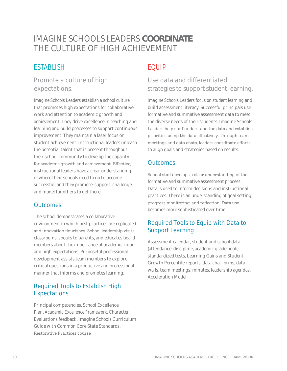# IMAGINE SCHOOLS LEADERS COORDINATE THE CUITURE OF HIGH ACHIEVEMENT

# **ESTABLISH**

#### Promote a culture of high expectations.

Imagine Schools Leaders establish a school culture that promotes high expectations for collaborative work and attention to academic growth and achievement. They drive excellence in teaching and learning and build processes to support continuous improvement. They maintain a laser focus on student achievement. Instructional leaders unleash the potential talent that is present throughout their school community to develop the capacity for academic growth and achievement. Effective, instructional leaders have a clear understanding of where their schools need to go to become successful; and they promote, support, challenge, and model for others to get there.

#### **Outcomes**

The school demonstrates a collaborative environment in which best practices are replicated and innovation flourishes. School leadership visits classrooms, speaks to parents, and educates board members about the importance of academic rigor and high expectations. Purposeful professional development assists team members to explore critical questions in a productive and professional manner that informs and promotes learning.

#### **Required Tools to Establish High Expectations**

Principal competencies, School Excellence Plan, Academic Excellence Framework, Character Evaluations feedback, Imagine Schools Curriculum Guide with Common Core State Standards. Restorative Practices course

# **EQUIP**

### Use data and differentiated strategies to support student learning.

Imagine Schools Leaders focus on student learning and build assessment literacy. Successful principals use formative and summative assessment data to meet the diverse needs of their students. Imagine Schools Leaders help staff understand the data and establish priorities using the data effectively. Through team meetings and data chats, leaders coordinate efforts to align goals and strategies based on results.

#### **Outcomes**

School staff develops a clear understanding of the formative and summative assessment process. Data is used to inform decisions and instructional practices. There is an understanding of goal setting, progress monitoring, and reflection. Data use becomes more sophisticated over time.

#### Required Tools to Equip with Data to **Support Learning**

Assessment calendar, student and school data (attendance, discipline, academic grade book), standardized tests, Learning Gains and Student Growth Percentile reports, data chat forms, data walls, team meetings, minutes, leadership agendas, **Acceleration Model**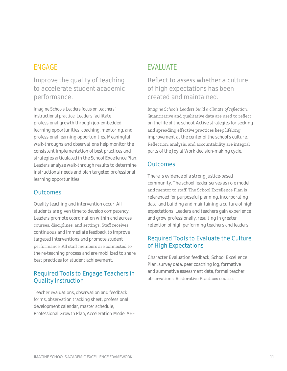### Improve the quality of teaching to accelerate student academic performance.

Imagine Schools Leaders focus on teachers' instructional practice. Leaders facilitate professional growth through job-embedded learning opportunities, coaching, mentoring, and professional learning opportunities. Meaningful walk-throughs and observations help monitor the consistent implementation of best practices and strategies articulated in the School Excellence Plan. Leaders analyze walk-through results to determine instructional needs and plan targeted professional learning opportunities.

#### **Outcomes**

Quality teaching and intervention occur. All students are given time to develop competency. Leaders promote coordination within and across courses, disciplines, and settings. Staff receives continuous and immediate feedback to improve targeted interventions and promote student performance. All staff members are connected to the re-teaching process and are mobilized to share best practices for student achievement.

#### **Required Tools to Engage Teachers in Quality Instruction**

Teacher evaluations, observation and feedback forms, observation tracking sheet, professional development calendar, master schedule, Professional Growth Plan, Acceleration Model AEF

## **EVALUATE**

#### Reflect to assess whether a culture of high expectations has been created and maintained.

Imagine Schools Leaders build a climate of reflection. Quantitative and qualitative data are used to reflect on the life of the school. Active strategies for seeking and spreading effective practices keep lifelong improvement at the center of the school's culture. Reflection, analysis, and accountability are integral parts of the Joy at Work decision-making cycle.

#### **Outcomes**

There is evidence of a strong justice-based community. The school leader serves as role model and mentor to staff. The School Excellence Plan is referenced for purposeful planning, incorporating data, and building and maintaining a culture of high expectations. Leaders and teachers gain experience and grow professionally, resulting in greater retention of high performing teachers and leaders.

#### **Required Tools to Evaluate the Culture** of High Expectations

**Character Evaluation feedback, School Excellence** Plan, survey data, peer coaching log, formative and summative assessment data, formal teacher observations, Restorative Practices course.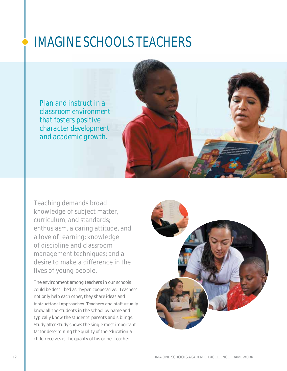# IMAGINE SCHOOLS TEACHERS

*Plan and instruct in a classroom environment that fosters positive character development and academic growth.* 



Teaching demands broad knowledge of subject matter, curriculum, and standards; enthusiasm, a caring attitude, and a love of learning; knowledge of discipline and classroom management techniques; and a desire to make a difference in the lives of young people.

The environment among teachers in our schools could be described as "hyper-cooperative." Teachers not only help each other, they share ideas and instructional approaches. Teachers and staff usually know all the students in the school by name and typically know the students' parents and siblings. Study after study shows the single most important factor determining the quality of the education a child receives is the quality of his or her teacher.

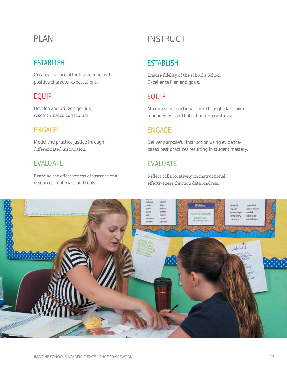# PI AN

## **ESTABLISH**

Create a culture of high academic and positive character expectations.

## **EQUIP**

Develop and utilize rigorous research-based curriculum.

# **ENGAGE**

Model and practice justice through differentiated instruction.

## **EVALUATE**

Examine the effectiveness of instructional resources, materials, and tools.

# **INSTRUCT**

# **ESTABLISH**

Ensure fidelity of the school's School Excellence Plan and goals.

# **FOUIP**

Maximize instructional time through classroom management and habit-building routines.

# **ENGAGE**

Deliver purposeful instruction using evidencebased best practices resulting in student mastery.

# **EVALUATE**

Reflect collaboratively on instructional effectiveness through data analysis.

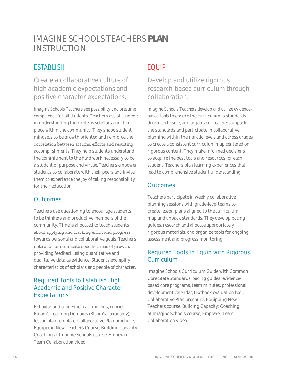# IMAGINE SCHOOLS TEACHERS **PLAN** INSTRUCTION

# **ESTABLISH**

Create a collaborative culture of high academic expectations and positive character expectations.

*Imagine Schools Teachers see possibility and presume competence* for all students. Teachers assist students in understanding their role as scholars and their place within the community. They shape student mindsets to be growth oriented and reinforce the correlation between actions, efforts and resulting accomplishments. They help students understand the commitment to the hard work necessary to be a student of purpose and virtue. Teachers empower students to collaborate with their peers and invite them to experience the joy of taking responsibility for their education.

#### **Outcomes**

Teachers use questioning to encourage students to be thinkers and productive members of the community. Time is allocated to teach students about applying and tracking effort and progress towards personal and collaborative goals. Teachers note and communicate specific areas of growth, providing feedback using quantitative and qualitative data as evidence. Students exemplify characteristics of scholars and people of character.

#### Required Tools to Establish High Academic and Positive Character Expectations

Behavior and academic tracking logs, rubrics, Bloom's Learning Domains (Bloom's Taxonomy), lesson plan template, Collaborative Plan brochure, Equipping New Teachers Course, Building Capacity: Coaching at Imagine Schools course, Empower Team Collaboration video

# EQUIP

## Develop and utilize rigorous research-based curriculum through collaboration.

*Imagine Schools Teachers develop and utilize evidencebased tools* to ensure the curriculum is standardsdriven, cohesive, and organized. Teachers unpack the standards and participate in collaborative planning within their grade levels and across grades to create a consistent curriculum map centered on rigorous content. They make informed decisions to acquire the best tools and resources for each student. Teachers plan learning experiences that lead to comprehensive student understanding.

#### **Outcomes**

Teachers participate in weekly collaborative planning sessions with grade-level teams to create lesson plans aligned to the curriculum map and unpack standards. They develop pacing guides, research and allocate appropriately rigorous materials, and organize tools for ongoing assessment and progress monitoring.

#### Required Tools to Equip with Rigorous Curriculum

Imagine Schools Curriculum Guide with Common Core State Standards, pacing guides, evidencebased core programs, team minutes, professional development calendar, textbook evaluation tool, Collaborative Plan brochure, Equipping New Teachers course, Building Capacity: Coaching at Imagine Schools course, Empower Team Collaboration video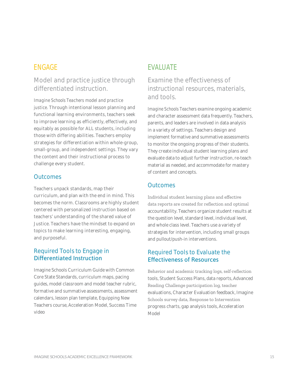#### Model and practice justice through differentiated instruction.

*Imagine Schools Teachers model and practice justice.* Through intentional lesson planning and functional learning environments, teachers seek to improve learning as efficiently, effectively, and equitably as possible for ALL students, including those with differing abilities. Teachers employ strategies for differentiation within whole-group, small-group, and independent settings. They vary the content and their instructional process to challenge every student.

#### **Outcomes**

Teachers unpack standards, map their curriculum, and plan with the end in mind. This becomes the norm. Classrooms are highly student centered with personalized instruction based on teachers' understanding of the shared value of Justice. Teachers have the mindset to expand on topics to make learning interesting, engaging, and purposeful.

#### Required Tools to Engage in Differentiated Instruction

Imagine Schools Curriculum Guide with Common Core State Standards, curriculum maps, pacing guides, model classroom and model teacher rubric, formative and summative assessments, assessment calendars, lesson plan template, Equipping New Teachers course, Acceleration Model, Success Time video

## EVALUATE

Examine the effectiveness of instructional resources, materials, and tools.

*Imagine Schools Teachers examine* ongoing academic and character assessment data frequently. Teachers, parents, and leaders are involved in data analysis in a variety of settings. Teachers design and implement formative and summative assessments to monitor the ongoing progress of their students. They create individual student learning plans and evaluate data to adjust further instruction, re-teach material as needed, and accommodate for mastery of content and concepts.

#### **Outcomes**

Individual student learning plans and effective data reports are created for reflection and optimal accountability. Teachers organize student results at the question level, standard level, individual level, and whole class level. Teachers use a variety of strategies for intervention, including small groups and pullout/push-in interventions.

#### Required Tools to Evaluate the Effectiveness of Resources

Behavior and academic tracking logs, self-reflection tools, Student Success Plans, data reports, Advanced Reading Challenge participation log, teacher evaluations, Character Evaluation feedback, Imagine Schools survey data, Response to Intervention progress charts, gap analysis tools, Acceleration Model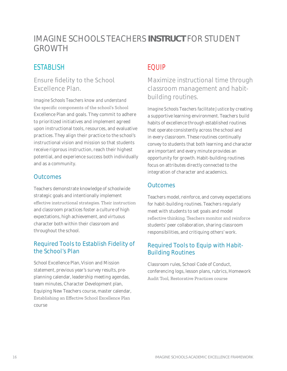# IMAGINE SCHOOLS TEACHERS **INSTRUCT** FOR STUDENT GROWTH

# **ESTABLISH**

#### Ensure fidelity to the School Excellence Plan.

*Imagine Schools Teachers know and understand* the specific components of the school's School Excellence Plan and goals. They commit to adhere to prioritized initiatives and implement agreed upon instructional tools, resources, and evaluative practices. They align their practice to the school's instructional vision and mission so that students receive rigorous instruction, reach their highest potential, and experience success both individually and as a community.

#### **Outcomes**

Teachers demonstrate knowledge of schoolwide strategic goals and intentionally implement effective instructional strategies. Their instruction and classroom practices foster a culture of high expectations, high achievement, and virtuous character both within their classroom and throughout the school.

#### Required Tools to Establish Fidelity of the School's Plan

School Excellence Plan, Vision and Mission statement, previous year's survey results, preplanning calendar, leadership meeting agendas, team minutes, Character Development plan, Equiping New Teachers course, master calendar, Establishing an Effective School Excellence Plan course

# EQUIP

Maximize instructional time through classroom management and habitbuilding routines.

*Imagine Schools Teachers facilitate Justice* by creating a supportive learning environment. Teachers build habits of excellence through established routines that operate consistently across the school and in every classroom. These routines continually convey to students that both learning and character are important and every minute provides an opportunity for growth. Habit-building routines focus on attributes directly connected to the integration of character and academics.

#### **Outcomes**

Teachers model, reinforce, and convey expectations for habit-building routines. Teachers regularly meet with students to set goals and model reflective thinking. Teachers monitor and reinforce students' peer collaboration, sharing classroom responsibilities, and critiquing others' work.

#### Required Tools to Equip with Habit-Building Routines

Classroom rules, School Code of Conduct, conferencing logs, lesson plans, rubrics, Homework Audit Tool, Restorative Practices course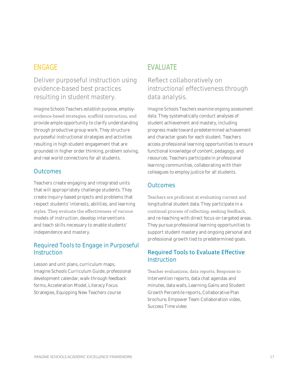## Deliver purposeful instruction using evidence-based best practices resulting in student mastery.

Imagine Schools Teachers establish purpose, employevidence-based strategies, scaffold instruction, and provide ample opportunity to clarify understanding through productive group work. They structure purposeful instructional strategies and activities resulting in high student engagement that are grounded in higher order thinking, problem solving, and real world connections for all students.

#### **Outcomes**

Teachers create engaging and integrated units that will appropriately challenge students. They create inquiry-based projects and problems that respect students' interests, abilities, and learning styles. They evaluate the effectiveness of various models of instruction, develop interventions and teach skills necessary to enable students' independence and mastery.

#### Required Tools to Engage in Purposeful Instruction

Lesson and unit plans, curriculum maps, Imagine Schools Curriculum Guide, professional development calendar, walk-through feedback forms, Acceleration Model, Literacy Focus Strategies, Equipping New Teachers course

# **EVALUATE**

#### Reflect collaboratively on instructional effectiveness through data analysis.

Imagine Schools Teachers examine ongoing assessment data. They systematically conduct analyses of student achievement and mastery, including progress made toward predetermined achievement and character goals for each student. Teachers access professional learning opportunities to ensure functional knowledge of content, pedagogy, and resources. Teachers participate in professional learning communities, collaborating with their colleagues to employ justice for all students.

#### **Outcomes**

Teachers are proficient at evaluating current and longitudinal student data. They participate in a continual process of reflecting, seeking feedback, and re-teaching with direct focus on targeted areas. They pursue professional learning opportunities to support student mastery and ongoing personal and professional growth tied to predetermined goals.

#### **Required Tools to Evaluate Effective** Instruction

Teacher evaluations, data reports, Response to Intervention reports, data chat agendas and minutes, data walls, Learning Gains and Student Growth Percentile reports, Collaborative Plan brochure, Empower Team Collaboration video, Success Time video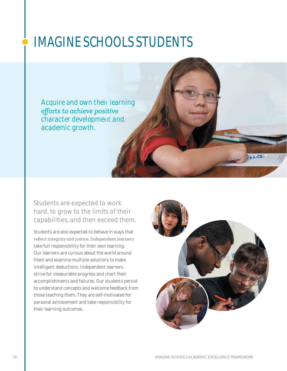# **IMAGINE SCHOOLS STUDENTS**

Acquire and own their learning efforts to achieve positive character development and academic growth.

Students are expected to work hard, to grow to the limits of their capabilities, and then exceed them.

Students are also expected to behave in ways that reflect integrity and justice. Independent learners take full responsibility for their own learning. Our learners are curious about the world around them and examine multiple solutions to make intelligent deductions. Independent learners strive for measurable progress and chart their accomplishments and failures. Our students persist to understand concepts and welcome feedback from those teaching them. They are self-motivated for personal achievement and take responsibility for their learning outcomes.

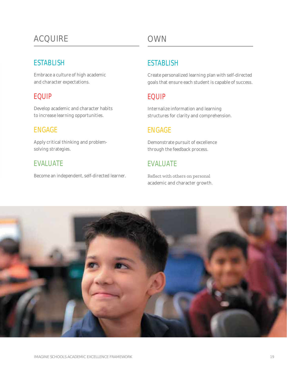# **ACOUIRE**

## **ESTABLISH**

Embrace a culture of high academic and character expectations.

# **EQUIP**

Develop academic and character habits to increase learning opportunities.

# **ENGAGE**

Apply critical thinking and problemsolving strategies.

# **EVALUATE**

Become an independent, self-directed learner.

# **OWN**

# **ESTABLISH**

Create personalized learning plan with self-directed goals that ensure each student is capable of success.

# **FOUIP**

Internalize information and learning structures for clarity and comprehension.

# **ENGAGE**

Demonstrate pursuit of excellence through the feedback process.

# **EVALUATE**

Reflect with others on personal academic and character growth.

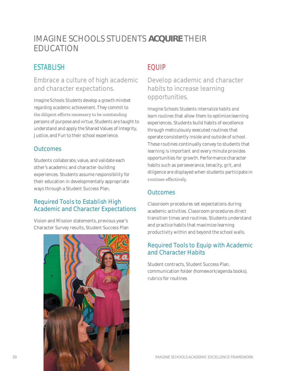# IMAGINE SCHOOLS STUDENTS **ACQUIRE** THEIR EDUCATION

# **ESTABLISH**

#### Embrace a culture of high academic and character expectations.

*Imagine Schools Students develop a growth mindset regarding academic achievement.* They commit to the diligent efforts necessary to be outstanding persons of purpose and virtue. Students are taught to understand and apply the Shared Values of Integrity, Justice, and Fun to their school experience.

#### **Outcomes**

Students collaborate, value, and validate each other's academic and character-building experiences. Students assume responsibility for their education in developmentally appropriate ways through a Student Success Plan.

#### Required Tools to Establish High Academic and Character Expectations

Vision and Mission statements, previous year's Character Survey results, Student Success Plan



# EQUIP

Develop academic and character habits to increase learning opportunities.

*Imagine Schools Students internalize habits and learn routines* that allow them to optimize learning experiences. Students build habits of excellence through meticulously executed routines that operate consistently inside and outside of school. These routines continually convey to students that learning is important and every minute provides opportunities for growth. Performance character habits such as perseverance, tenacity, grit, and diligence are displayed when students participate in routines effectively.

#### **Outcomes**

Classroom procedures set expectations during academic activities. Classroom procedures direct transition times and routines. Students understand and practice habits that maximize learning productivity within and beyond the school walls.

#### Required Tools to Equip with Academic and Character Habits

Student contracts, Student Success Plan, communication folder (homework/agenda books), rubrics for routines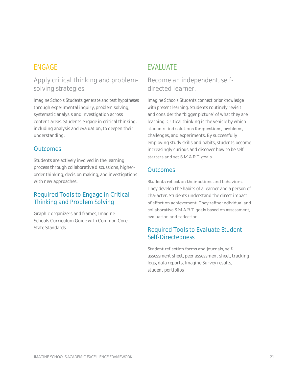Apply critical thinking and problemsolving strategies.

Imagine Schools Students generate and test hypotheses through experimental inquiry, problem solving, systematic analysis and investigation across content areas. Students engage in critical thinking, including analysis and evaluation, to deepen their understanding.

#### **Outcomes**

Students are actively involved in the learning process through collaborative discussions, higherorder thinking, decision making, and investigations with new approaches.

#### **Required Tools to Engage in Critical Thinking and Problem Solving**

Graphic organizers and frames, Imagine Schools Curriculum Guide with Common Core State Standards

## **EVALUATE**

#### Become an independent, selfdirected learner.

Imagine Schools Students connect prior knowledge with present learning. Students routinely revisit and consider the "bigger picture" of what they are learning. Critical thinking is the vehicle by which students find solutions for questions, problems, challenges, and experiments. By successfully employing study skills and habits, students become increasingly curious and discover how to be selfstarters and set S.M.A.R.T. goals.

#### **Outcomes**

Students reflect on their actions and behaviors. They develop the habits of a learner and a person of character. Students understand the direct impact of effort on achievement. They refine individual and collaborative S.M.A.R.T. goals based on assessment, evaluation and reflection.

#### **Required Tools to Evaluate Student Self-Directedness**

Student reflection forms and journals, selfassessment sheet, peer assessment sheet, tracking logs, data reports, Imagine Survey results, student portfolios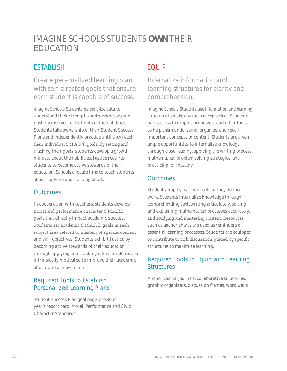# IMAGINE SCHOOLS STUDENTS **OWN** THEIR EDUCATION

# ESTABLISH

Create personalized learning plan with self-directed goals that ensure each student is capable of success.

*Imagine Schools Students personalize data* to understand their strengths and weaknesses and push themselves to the limits of their abilities. Students take ownership of their Student Success Plans and independently practice until they reach their individual S.M.A.R.T. goals. By setting and tracking their goals, students develop a growth mindset about their abilities. Justice requires students to become active stewards of their education. Schools allocate time to teach students about applying and tracking effort.

#### **Outcomes**

In cooperation with teachers, students develop moral and performance character S.M.A.R.T. goals that directly impact academic success. Students set academic S.M.A.R.T. goals in each subject area related to mastery of specific content and skill objectives. Students exhibit Justice by becoming active stewards of their education through applying and tracking effort. Students are intrinsically motivated to improve their academic efforts and achievements.

#### Required Tools to Establish Personalized Learning Plans

Student Success Plan goal page, previous year's report card, Moral, Performance and Civic Character Standards

# EQUIP

Internalize information and learning structures for clarity and comprehension.

*Imagine Schools Students use information and learning structures to make abstract concepts clear.* Students have access to graphic organizers and other tools to help them understand, organize, and recall important concepts or content. Students are given ample opportunities to internalize knowledge through close reading, applying the writing process, mathematical problem solving strategies, and practicing for mastery.

#### **Outcomes**

Students employ learning tools as they do their work. Students internalize knowledge through comprehending text, writing articulately, solving and explaining mathematical processes accurately, and studying and mastering content. Resources such as anchor charts are used as reminders of essential learning processes. Students are equipped to contribute to rich discussions guided by specific structures to maximize learning.

#### Required Tools to Equip with Learning **Structures**

Anchor charts, journals, collaborative structures, graphic organizers, discussion frames, word walls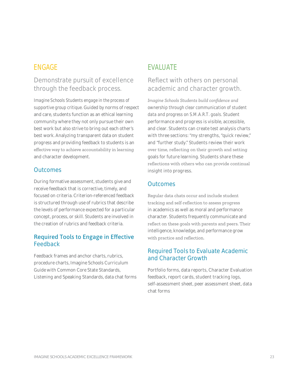#### Demonstrate pursuit of excellence through the feedback process.

Imagine Schools Students engage in the process of supportive group critique. Guided by norms of respect and care, students function as an ethical learning community where they not only pursue their own best work but also strive to bring out each other's best work. Analyzing transparent data on student progress and providing feedback to students is an effective way to achieve accountability in learning and character development.

#### **Outcomes**

During formative assessment, students give and receive feedback that is corrective, timely, and focused on criteria. Criterion-referenced feedback is structured through use of rubrics that describe the levels of performance expected for a particular concept, process, or skill. Students are involved in the creation of rubrics and feedback criteria.

#### **Required Tools to Engage in Effective** Feedback

Feedback frames and anchor charts, rubrics, procedure charts, Imagine Schools Curriculum Guide with Common Core State Standards, Listening and Speaking Standards, data chat forms

# **EVALUATE**

#### Reflect with others on personal academic and character growth.

Imagine Schools Students build confidence and ownership through clear communication of student data and progress on S.M.A.R.T. goals. Student performance and progress is visible, accessible, and clear. Students can create test analysis charts with three sections: "my strengths, "quick review," and "further study." Students review their work over time, reflecting on their growth and setting goals for future learning. Students share these reflections with others who can provide continual insight into progress.

#### **Outcomes**

Regular data chats occur and include student tracking and self-reflection to assess progress in academics as well as moral and performance character. Students frequently communicate and reflect on these goals with parents and peers. Their intelligence, knowledge, and performance grow with practice and reflection.

#### **Required Tools to Evaluate Academic** and Character Growth

Portfolio forms, data reports, Character Evaluation feedback, report cards, student tracking logs, self-assessment sheet, peer assessment sheet, data chat forms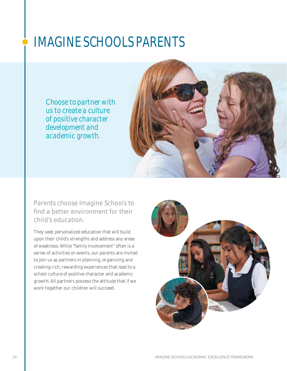# IMAGINE SCHOOLS PARENTS

*Choose to partner with us to create a culture of positive character development and academic growth.*



Parents choose Imagine Schools to find a better environment for their child's education.

They seek personalized education that will build upon their child's strengths and address any areas of weakness. While "family involvement" often is a series of activities or events, our parents are invited to join us as partners in planning, organizing and creating rich, rewarding experiences that lead to a school culture of positive character and academic growth. All partners possess the attitude that if we work together our children will succeed.

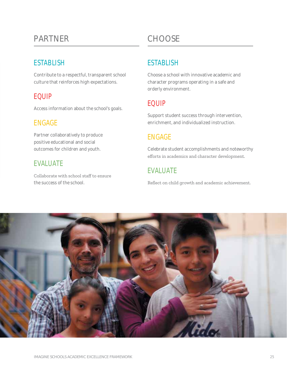# **PARTNFR**

## **ESTABLISH**

Contribute to a respectful, transparent school culture that reinforces high expectations.

# **EQUIP**

Access information about the school's goals.

## **ENGAGE**

Partner collaboratively to produce positive educational and social outcomes for children and youth.

## **EVALUATE**

Collaborate with school staff to ensure the success of the school.

# CHOOSE

# **ESTABLISH**

Choose a school with innovative academic and character programs operating in a safe and orderly environment.

# **EQUIP**

Support student success through intervention, enrichment, and individualized instruction.

# **ENGAGE**

Celebrate student accomplishments and noteworthy efforts in academics and character development.

# **EVALUATE**

Reflect on child growth and academic achievement.

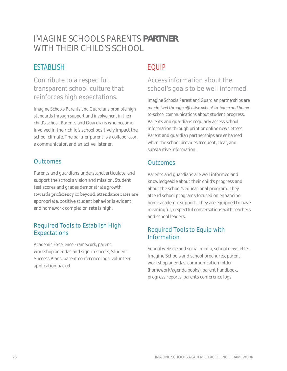# IMAGINE SCHOOLS PARENTS PARTNER WITH THEIR CHILD'S SCHOOL

# **ESTABLISH**

Contribute to a respectful, transparent school culture that reinforces high expectations.

Imagine Schools Parents and Guardians promote high standards through support and involvement in their child's school. Parents and Guardians who become involved in their child's school positively impact the school climate. The partner parent is a collaborator, a communicator, and an active listener.

#### **Outcomes**

Parents and guardians understand, articulate, and support the school's vision and mission. Student test scores and grades demonstrate growth towards proficiency or beyond, attendance rates are appropriate, positive student behavior is evident, and homework completion rate is high.

#### **Required Tools to Establish High Expectations**

Academic Excellence Framework, parent workshop agendas and sign-in sheets, Student Success Plans, parent conference logs, volunteer application packet

# **FOUIP**

#### Access information about the school's goals to be well informed.

Imagine Schools Parent and Guardian partnerships are maximized through effective school-to-home and hometo-school communications about student progress. Parents and guardians regularly access school information through print or online newsletters. Parent and guardian partnerships are enhanced when the school provides frequent, clear, and substantive information.

#### **Outcomes**

Parents and guardians are well informed and knowledgeable about their child's progress and about the school's educational program. They attend school programs focused on enhancing home academic support. They are equipped to have meaningful, respectful conversations with teachers and school leaders.

#### **Required Tools to Equip with** Information

School website and social media, school newsletter. Imagine Schools and school brochures, parent workshop agendas, communication folder (homework/agenda books), parent handbook, progress reports, parents conference logs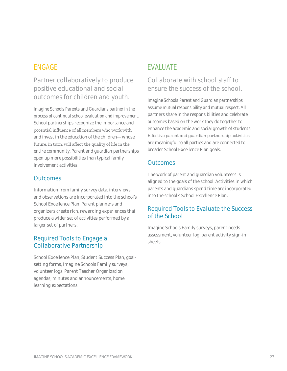Partner collaboratively to produce positive educational and social outcomes for children and youth.

*Imagine Schools Parents and Guardians partner in the process of continual school evaluation and improvement.*  School partnerships recognize the importance and potential influence of all members who work with and invest in the education of the children—whose future, in turn, will affect the quality of life in the entire community. Parent and guardian partnerships open up more possibilities than typical family involvement activities.

#### **Outcomes**

Information from family survey data, interviews, and observations are incorporated into the school's School Excellence Plan. Parent planners and organizers create rich, rewarding experiences that produce a wider set of activities performed by a larger set of partners.

#### Required Tools to Engage a Collaborative Partnership

School Excellence Plan, Student Success Plan, goalsetting forms, Imagine Schools Family surveys, volunteer logs, Parent Teacher Organization agendas, minutes and announcements, home learning expectations

# EVALUATE

#### Collaborate with school staff to ensure the success of the school.

*Imagine Schools Parent and Guardian partnerships assume mutual responsibility and mutual respect.* All partners share in the responsibilities and celebrate outcomes based on the work they do together to enhance the academic and social growth of students. Effective parent and guardian partnership activities are meaningful to all parties and are connected to broader School Excellence Plan goals.

#### **Outcomes**

The work of parent and guardian volunteers is aligned to the goals of the school. Activities in which parents and guardians spend time are incorporated into the school's School Excellence Plan.

#### Required Tools to Evaluate the Success of the School

Imagine Schools Family surveys, parent needs assessment, volunteer log, parent activity sign-in sheets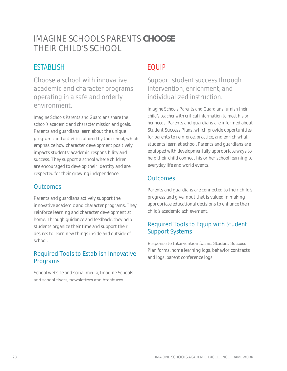# IMAGINE SCHOOLS PARENTS **CHOOSE** THEIR CHILD'S SCHOOL

# **ESTABLISH**

Choose a school with innovative academic and character programs operating in a safe and orderly environment.

*Imagine Schools Parents and Guardians share the school's academic and character mission and goals.* Parents and guardians learn about the unique programs and activities offered by the school, which emphasize how character development positively impacts students' academic responsibility and success. They support a school where children are encouraged to develop their identity and are respected for their growing independence.

#### **Outcomes**

Parents and guardians actively support the innovative academic and character programs. They reinforce learning and character development at home. Through guidance and feedback, they help students organize their time and support their desires to learn new things inside and outside of school.

#### Required Tools to Establish Innovative Programs

School website and social media, Imagine Schools and school flyers, newsletters and brochures

# EQUIP

Support student success through intervention, enrichment, and individualized instruction.

*Imagine Schools Parents and Guardians furnish their child's teacher with critical information to meet his or her needs.* Parents and guardians are informed about Student Success Plans, which provide opportunities for parents to reinforce, practice, and enrich what students learn at school. Parents and guardians are equipped with developmentally appropriate ways to help their child connect his or her school learning to everyday life and world events.

#### **Outcomes**

Parents and guardians are connected to their child's progress and give input that is valued in making appropriate educational decisions to enhance their child's academic achievement.

#### Required Tools to Equip with Student Support Systems

Response to Intervention forms, Student Success Plan forms, home learning logs, behavior contracts and logs, parent conference logs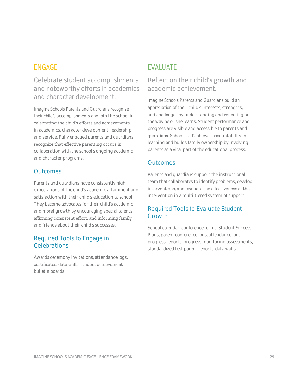Celebrate student accomplishments and noteworthy efforts in academics and character development.

Imagine Schools Parents and Guardians recognize their child's accomplishments and join the school in celebrating the child's efforts and achievements in academics, character development, leadership, and service. Fully engaged parents and guardians recognize that effective parenting occurs in collaboration with the school's ongoing academic and character programs.

#### **Outcomes**

Parents and guardians have consistently high expectations of the child's academic attainment and satisfaction with their child's education at school. They become advocates for their child's academic and moral growth by encouraging special talents, affirming consistent effort, and informing family and friends about their child's successes.

#### **Required Tools to Engage in** Celebrations

Awards ceremony invitations, attendance logs, certificates, data walls, student achievement bulletin boards

# **EVALUATE**

#### Reflect on their child's growth and academic achievement.

Imagine Schools Parents and Guardians build an appreciation of their child's interests, strengths, and challenges by understanding and reflecting on the way he or she learns. Student performance and progress are visible and accessible to parents and guardians. School staff achieves accountability in learning and builds family ownership by involving parents as a vital part of the educational process.

#### **Outcomes**

Parents and guardians support the instructional team that collaborates to identify problems, develop interventions, and evaluate the effectiveness of the intervention in a multi-tiered system of support.

#### **Required Tools to Evaluate Student** Growth

School calendar, conference forms, Student Success Plans, parent conference logs, attendance logs, progress reports, progress monitoring assessments, standardized test parent reports, data walls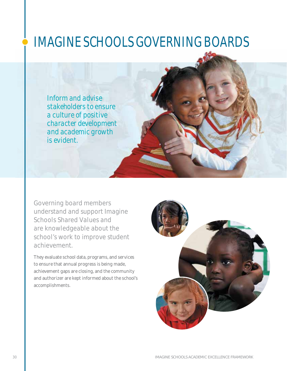# IMAGINE SCHOOLS GOVERNING BOARDS

*Inform and advise stakeholders to ensure a culture of positive character development and academic growth is evident.*

Governing board members understand and support Imagine Schools Shared Values and are knowledgeable about the school's work to improve student achievement.

They evaluate school data, programs, and services to ensure that annual progress is being made, achievement gaps are closing, and the community and authorizer are kept informed about the school's accomplishments.

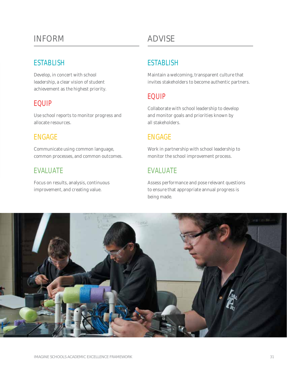# INFORM

#### **ESTABLISH**

Develop, in concert with school leadership, a clear vision of student achievement as the highest priority.

## EQUIP

Use school reports to monitor progress and allocate resources.

# ENGAGE

Communicate using common language, common processes, and common outcomes.

## EVALUATE

Focus on results, analysis, continuous improvement, and creating value.

# ADVISE

# **ESTABLISH**

Maintain a welcoming, transparent culture that invites stakeholders to become authentic partners.

# EQUIP

Collaborate with school leadership to develop and monitor goals and priorities known by all stakeholders.

## ENGAGE

Work in partnership with school leadership to monitor the school improvement process.

# EVALUATE

Assess performance and pose relevant questions to ensure that appropriate annual progress is being made.

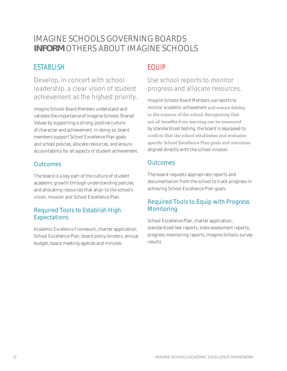# IMAGINE SCHOOLS GOVERNING BOARDS **INFORM OTHERS ABOUT IMAGINE SCHOOLS**

# **ESTABLISH**

Develop, in concert with school leadership, a clear vision of student achievement as the highest priority.

Imagine Schools Board Members understand and validate the importance of Imagine Schools Shared Values by supporting a strong, positive culture of character and achievement. In doing so, board members support School Excellence Plan goals and school policies, allocate resources, and ensure accountability for all aspects of student achievement.

### **Outcomes**

The board is a key part of the culture of student academic growth through understanding policies and allocating resources that align to the school's vision, mission and School Excellence Plan.

#### **Required Tools to Establish High Expectations**

Academic Excellence Framework, charter application, School Excellence Plan, board policy binders, annual budget, board meeting agenda and minutes

# **EQUIP**

### Use school reports to monitor progress and allocate resources.

Imagine Schools Board Members use reports to monitor academic achievement and ensure fidelity to the mission of the school. Recognizing that not all benefits from learning can be measured by standardized testing, the board is equipped to confirm that the school establishes and evaluates specific School Excellence Plan goals and outcomes aligned directly with the school mission.

#### **Outcomes**

The board requests appropriate reports and documentation from the school to track progress in achieving School Excellence Plan goals.

#### **Required Tools to Equip with Progress** Monitoring

School Excellence Plan, charter application, standardized test reports, state assessment reports, progress monitoring reports, Imagine Schools survey results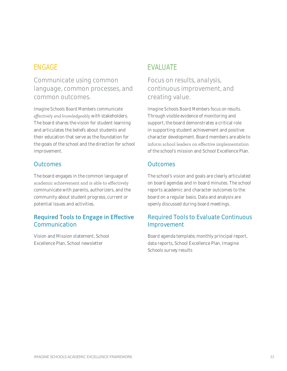Communicate using common language, common processes, and common outcomes.

Imagine Schools Board Members communicate effectively and knowledgeably with stakeholders. The board shares the vision for student learning and articulates the beliefs about students and their education that serve as the foundation for the goals of the school and the direction for school improvement.

#### **Outcomes**

The board engages in the common language of academic achievement and is able to effectively communicate with parents, authorizers, and the community about student progress, current or potential issues and activities.

#### **Required Tools to Engage in Effective** Communication

Vision and Mission statement, School Excellence Plan, School newsletter

## **EVALUATE**

Focus on results, analysis, continuous improvement, and creating value.

Imagine Schools Board Members focus on results. Through visible evidence of monitoring and support, the board demonstrates a critical role in supporting student achievement and positive character development. Board members are able to inform school leaders on effective implementation of the school's mission and School Excellence Plan.

#### **Outcomes**

The school's vision and goals are clearly articulated on board agendas and in board minutes. The school reports academic and character outcomes to the board on a regular basis. Data and analysis are openly discussed during board meetings.

#### **Required Tools to Evaluate Continuous** Improvement

Board agenda template, monthly principal report, data reports, School Excellence Plan, Imagine Schools survey results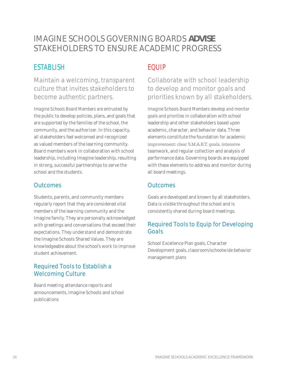# IMAGINE SCHOOLS GOVERNING BOARDS ADVISE STAKEHOLDERS TO ENSURE ACADEMIC PROGRESS

# **ESTABLISH**

Maintain a welcoming, transparent culture that invites stakeholders to become authentic partners.

Imagine Schools Board Members are entrusted by the public to develop policies, plans, and goals that are supported by the families of the school, the community, and the authorizer. In this capacity, all stakeholders feel welcomed and recognized as valued members of the learning community. Board members work in collaboration with school leadership, including Imagine leadership, resulting in strong, successful partnerships to serve the school and the students.

#### **Outcomes**

Students, parents, and community members regularly report that they are considered vital members of the learning community and the Imagine family. They are personally acknowledged with greetings and conversations that exceed their expectations. They understand and demonstrate the Imagine Schools Shared Values. They are knowledgeable about the school's work to improve student achievement.

#### **Required Tools to Establish a Welcoming Culture**

Board meeting attendance reports and announcements, Imagine Schools and school publications

# EQUIP

Collaborate with school leadership to develop and monitor goals and priorities known by all stakeholders.

Imagine Schools Board Members develop and monitor goals and priorities in collaboration with school leadership and other stakeholders based upon academic, character, and behavior data. Three elements constitute the foundation for academic improvement: clear S.M.A.R.T. goals, intensive teamwork, and regular collection and analysis of performance data. Governing boards are equipped with these elements to address and monitor during all board meetings.

#### **Outcomes**

Goals are developed and known by all stakeholders. Data is visible throughout the school and is consistently shared during board meetings.

#### **Required Tools to Equip for Developing** Goals

School Excellence Plan goals, Character Development goals, classroom/schoolwide behavior management plans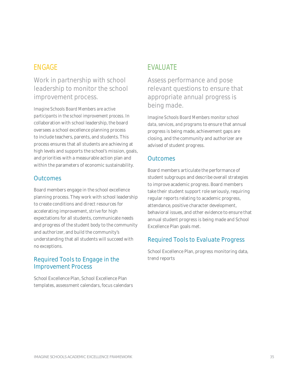Work in partnership with school leadership to monitor the school improvement process.

*Imagine Schools Board Members are active participants in the school improvement process.* In collaboration with school leadership, the board oversees a school excellence planning process to include teachers, parents, and students. This process ensures that all students are achieving at high levels and supports the school's mission, goals, and priorities with a measurable action plan and within the parameters of economic sustainability.

#### **Outcomes**

Board members engage in the school excellence planning process. They work with school leadership to create conditions and direct resources for accelerating improvement, strive for high expectations for all students, communicate needs and progress of the student body to the community and authorizer, and build the community's understanding that all students will succeed with no exceptions.

#### Required Tools to Engage in the Improvement Process

School Excellence Plan, School Excellence Plan templates, assessment calendars, focus calendars

# EVALUATE

Assess performance and pose relevant questions to ensure that appropriate annual progress is being made.

*Imagine Schools Board Members monitor school data, services, and programs* to ensure that annual progress is being made, achievement gaps are closing, and the community and authorizer are advised of student progress.

#### **Outcomes**

Board members articulate the performance of student subgroups and describe overall strategies to improve academic progress. Board members take their student support role seriously, requiring regular reports relating to academic progress, attendance, positive character development, behavioral issues, and other evidence to ensure that annual student progress is being made and School Excellence Plan goals met.

#### Required Tools to Evaluate Progress

School Excellence Plan, progress monitoring data, trend reports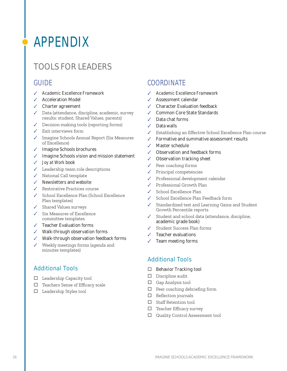# **APPENDIX**

# **TOOLS FOR LEADERS**

#### **GUIDE**

- ✔ Academic Excellence Framework
- ✔ Acceleration Model
- $\checkmark$  Charter agreement
- ✔ Data (attendance, discipline, academic, survey results: student, Shared Values, parents)
- $\sqrt{\phantom{a}}$  Decision-making tools (reporting forms)
- $\checkmark$  Exit interviews form
- ✔ Imagine Schools Annual Report (Six Measures of Excellence)
- ✔ Imagine Schools brochures
- ✔ Imagine Schools vision and mission statement
- ✔ *Joy at Work* book
- $\checkmark$  Leadership team role descriptions
- V National Call template
- $\checkmark$  Newsletters and website
- ✔ Restorative Practices course
- School Excellence Plan (School Excellence Plan templates)
- $\checkmark$  Shared Values surveys
- $\checkmark$  Six Measures of Excellence committee templates
- $\checkmark$  Teacher Evaluation forms
- ✔ Walk-through observation forms
- Walk-through observation feedback forms
- Weekly meetings forms (agenda and minutes templates)

#### **Additional Tools**

- $\Box$  Leadership Capacity tool
- □ Teachers Sense of Efficacy scale
- $\Box$  Leadership Styles tool

## **COORDINATE**

- ✔ Academic Excellence Framework
- Assessment calendar
- **Character Evaluation feedback**
- Common Core State Standards
- Data chat forms
- $\sqrt{\phantom{a}}$  Data walls
- Establishing an Effective School Excellence Plan course
- Formative and summative assessment results
- ✔ Master schedule
- ✔ Observation and feedback forms
- Observation tracking sheet
- Peer coaching forms
- Principal competencies
- Professional development calendar
- $\checkmark$  Professional Growth Plan
- School Excellence Plan
- School Excellence Plan Feedback form
- ✔ Standardized test and Learning Gains and Student Growth Percentile reports
- Student and school data (attendance, discipline, academic grade book)
- Student Success Plan forms
- $\checkmark$  Teacher evaluations
- Team meeting forms

- Behavior Tracking tool  $\Box$
- $\square$  Discipline audit
- $\Box$  Gap Analysis tool
- $\Box$  Peer coaching debriefing form
- $\Box$  Reflection journals
- $\Box$  Staff Retention tool
- $\Box$  Teacher Efficacy survey
- $\Box$  Quality Control Assessment tool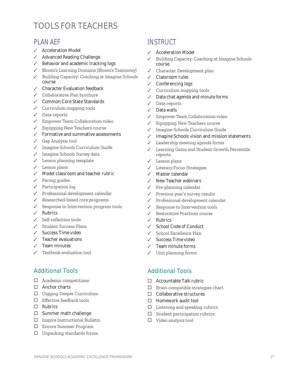# TOOLS FOR TEACHERS

#### **PI AN AFF**

- ✔ Acceleration Model
- Advanced Reading Challenge  $\checkmark$
- Behavior and academic tracking logs
- Bloom's Learning Domains (Bloom's Taxonomy)
- Building Capacity: Coaching at Imagine Schools course
- ✔ Character Evaluation feedback
- ✔ Collaborative Plan brochure
- ✔ Common Core State Standards
- $\checkmark$  Curriculum mapping tools
- $\sqrt{\phantom{a}}$  Data reports
- ✔ Empower Team Collaboration video
- ✔ Equipping New Teachers course
- ✔ Formative and summative assessments
- $\checkmark$  Gap Analysis tool
- ✔ Imagine Schools Curriculum Guide
- ✔ Imagine Schools Survey data
- $\checkmark$  Lesson planning template
- $\checkmark$  Lesson plans
- Model classroom and teacher rubric
- $\checkmark$  Pacing guides
- $\checkmark$  Participation log
- $\checkmark$  Professional development calendar
- $\overline{\mathcal{L}}$ Researched-based core programs
- $\checkmark$  Response to Intervention progress tools
- $\angle$  Rubrics
- $\checkmark$  Self-reflection tools
- Student Success Plans
- Success Time video
- $\sqrt{\phantom{a}}$  Teacher evaluations
- Team minutes
- $\checkmark$  Textbook evaluation tool

#### **Additional Tools**

- $\Box$  Academic competitions
- $\Box$  Anchor charts
- D Digging Deeper Curriculum
- $\Box$  Effective feedback tools
- $\Box$  Rubrics
- □ Summer math challenge
- $\Box$  Inspire Instructional Bulletin
- □ Encore Summer Program
- $\Box$  Unpacking standards forms

## **INSTRUCT**

- **Acceleration Model**
- Building Capacity: Coaching at Imagine Schools course
- Character Development plan  $\mathcal{L}$
- $\checkmark$ Classroom rules
- ✔ Conferencing logs
- Curriculum mapping tools
- Data chat agenda and minute forms
- $\sqrt{\phantom{a}}$  Data reports
- $\overline{\mathcal{L}}$ Data walls
- Empower Team Collaboration video
- Equipping New Teachers course
- Imagine Schools Curriculum Guide
- Imagine Schools vision and mission statements
- Leadership meeting agenda forms
- Learning Gains and Student Growth Percentile reports
- $\checkmark$  Lesson plans
- Literacy Focus Strategies
- Master calendar
- New Teacher webinars
- $\checkmark$  Pre-planning calendar
- Previous year's survey results  $\overline{\mathcal{L}}$
- Professional development calendar
- Response to Intervention tools
- Restorative Practices course
- $\angle$  Rubrics
- School Code of Conduct
- School Excellence Plan
- $\checkmark$  Success Time video
- $\checkmark$  Team minute forms
- Unit planning forms

- $\Box$  Accountable Talk rubric
- $\Box$  Brain-compatible strategies chart
- $\Box$  Collaborative structures
- $\Box$  Homework audit tool
- $\Box$  Listening and speaking rubrics
- Student participation rubrics  $\Box$
- $\Box$  Video analysis tool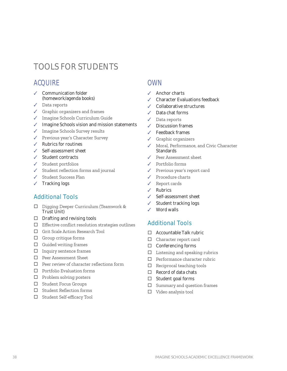# **TOOLS FOR STUDENTS**

## **ACOUIRE**

- ✔ Communication folder (homework/agenda books)
- $\sqrt{\phantom{a}}$  Data reports
- $\checkmark$  Graphic organizers and frames
- ✔ Imagine Schools Curriculum Guide
- ✔ Imagine Schools vision and mission statements
- ✔ Imagine Schools Survey results
- ✔ Previous year's Character Survey
- $\checkmark$  Rubrics for routines
- Self-assessment sheet
- $\checkmark$  Student contracts
- $\checkmark$  Student portfolios
- Student reflection forms and journal  $\checkmark$
- ✔ Student Success Plan
- $\checkmark$  Tracking logs

#### **Additional Tools**

- □ Digging Deeper Curriculum (Teamwork & Trust Unit)
- $\Box$  Drafting and revising tools
- $\Box$  Effective conflict resolution strategies outlines
- □ Grit Scale Action Research Tool
- $\Box$  Group critique forms
- $\Box$  Guided writing frames
- $\Box$  Inquiry sentence frames
- $\Box$  Peer Assessment Sheet
- $\Box$  Peer review of character reflections form
- $\Box$  Portfolio Evaluation forms
- $\Box$  Problem solving posters
- □ Student Focus Groups
- $\Box$  Student Reflection forms
- □ Student Self-efficacy Tool

#### **OWN**

- $\angle$  Anchor charts
- **Character Evaluations feedback**
- Collaborative structures
- Data chat forms
- Data reports
- ✔ Discussion frames
- $\angle$  Feedback frames
- Graphic organizers
- ✔ Moral, Performance, and Civic Character Standards
- Peer Assessment sheet
- $\checkmark$  Portfolio forms
- Previous year's report card
- $\checkmark$  Procedure charts
- Report cards  $\mathcal{L}$
- Rubrics  $\mathcal{L}$
- Self-assessment sheet
- Student tracking logs
- Word walls

- $\Box$  Accountable Talk rubric
- $\Box$  Character report card
- $\Box$  Conferencing forms
- $\Box$  Listening and speaking rubrics
- $\Box$  Performance character rubric
- $\Box$  Reciprocal teaching tools
- $\Box$  Record of data chats
- $\Box$  Student goal forms
- Summary and question frames  $\Box$
- $\Box$  Video analysis tool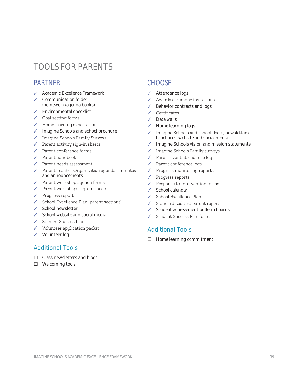# TOOLS FOR PARENTS

#### PARTNER

- *Academic Excellence Framework*
- Communication folder (homework/agenda books)
- Environmental checklist
- ↓ Goal setting forms
- ↓ Home learning expectations
- ✔ Imagine Schools and school brochure
- $\checkmark$  Imagine Schools Family Surveys
- √ Parent activity sign-in sheets
- ✔ Parent conference forms
- $\checkmark$  Parent handbook
- ✔ Parent needs assessment
- $\checkmark$  Parent Teacher Organization agendas, minutes and announcements
- ✔ Parent workshop agenda forms
- ✔ Parent workshops sign-in sheets
- ✔ Progress reports
- $\checkmark$  School Excellence Plan (parent sections)
- School newsletter
- $\angle$  School website and social media
- Student Success Plan
- ✔ Volunteer application packet
- Volunteer log

#### Additional Tools

- □ Class newsletters and blogs
- □ Welcoming tools

#### **CHOOSE**

- Attendance logs
- Awards ceremony invitations
- Behavior contracts and logs
- √ Certificates
- Data walls
- $\checkmark$  Home learning logs
- $\checkmark$  Imagine Schools and school flyers, newsletters, brochures, website and social media
- $\checkmark$  Imagine Schools vision and mission statements
- ✔ Imagine Schools Family surveys
- ✔ Parent event attendance log
- ✔ Parent conference logs
- $\checkmark$  Progress monitoring reports
- ✔ Progress reports
- $\checkmark$  Response to Intervention forms
- $\checkmark$  School calendar
- School Excellence Plan
- Standardized test parent reports
- Student achievement bulletin boards
- Student Success Plan forms

#### Additional Tools

 $\Box$  Home learning commitment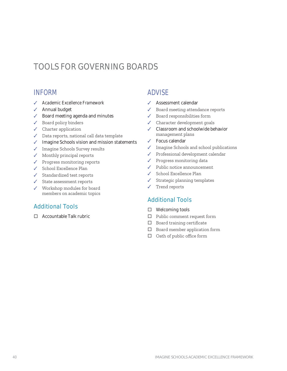# TOOLS FOR GOVERNING BOARDS

#### **INFORM**

- ✔ Academic Excellence Framework
- ✔ Annual budget
- Board meeting agenda and minutes
- $\checkmark$  Board policy binders
- $\checkmark$  Charter application
- Data reports, national call data template
- ✔ Imagine Schools vision and mission statements
- ✔ Imagine Schools Survey results
- $\checkmark$  Monthly principal reports
- $\checkmark$  Progress monitoring reports
- ✔ School Excellence Plan
- $\checkmark$  Standardized test reports
- $\checkmark$  State assessment reports
- $\checkmark$  Workshop modules for board members on academic topics

#### **Additional Tools**

 $\Box$  Accountable Talk rubric

#### **ADVISE**

- ✔ Assessment calendar
- Board meeting attendance reports  $\checkmark$
- Board responsibilities form  $\checkmark$
- $\checkmark$  Character development goals
- ✔ Classroom and schoolwide behavior management plans
- $\checkmark$  Focus calendar
- ✔ Imagine Schools and school publications
- $\checkmark$  Professional development calendar
- $\sqrt{\phantom{a}}$  Progress monitoring data
- $\checkmark$  Public notice announcement
- $\checkmark$  School Excellence Plan
- Strategic planning templates  $\checkmark$
- Trend reports  $\checkmark$

- $\Box$  Welcoming tools
- $\Box$  Public comment request form
- $\Box$  Board training certificate
- $\Box$  Board member application form
- $\Box$  Oath of public office form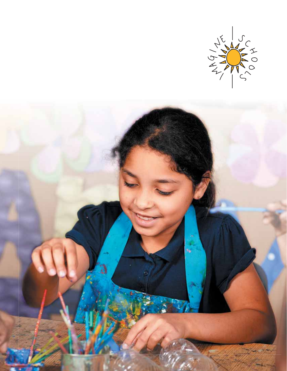